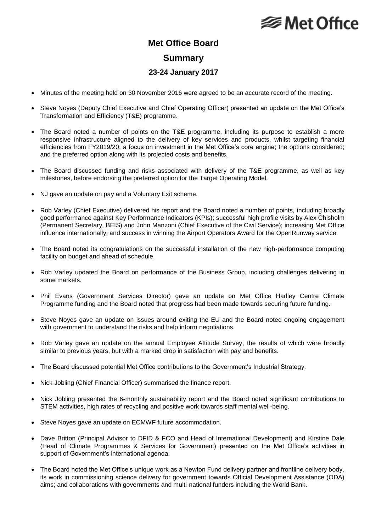## **⊗ Met Office**

## **Met Office Board Summary 23-24 January 2017**

- Minutes of the meeting held on 30 November 2016 were agreed to be an accurate record of the meeting.
- Steve Noyes (Deputy Chief Executive and Chief Operating Officer) presented an update on the Met Office's Transformation and Efficiency (T&E) programme.
- The Board noted a number of points on the T&E programme, including its purpose to establish a more responsive infrastructure aligned to the delivery of key services and products, whilst targeting financial efficiencies from FY2019/20; a focus on investment in the Met Office's core engine; the options considered; and the preferred option along with its projected costs and benefits.
- The Board discussed funding and risks associated with delivery of the T&E programme, as well as key milestones, before endorsing the preferred option for the Target Operating Model.
- NJ gave an update on pay and a Voluntary Exit scheme.
- Rob Varley (Chief Executive) delivered his report and the Board noted a number of points, including broadly good performance against Key Performance Indicators (KPIs); successful high profile visits by Alex Chisholm (Permanent Secretary, BEIS) and John Manzoni (Chief Executive of the Civil Service); increasing Met Office influence internationally; and success in winning the Airport Operators Award for the OpenRunway service.
- The Board noted its congratulations on the successful installation of the new high-performance computing facility on budget and ahead of schedule.
- Rob Varley updated the Board on performance of the Business Group, including challenges delivering in some markets.
- Phil Evans (Government Services Director) gave an update on Met Office Hadley Centre Climate Programme funding and the Board noted that progress had been made towards securing future funding.
- Steve Noyes gave an update on issues around exiting the EU and the Board noted ongoing engagement with government to understand the risks and help inform negotiations.
- Rob Varley gave an update on the annual Employee Attitude Survey, the results of which were broadly similar to previous years, but with a marked drop in satisfaction with pay and benefits.
- The Board discussed potential Met Office contributions to the Government's Industrial Strategy.
- Nick Jobling (Chief Financial Officer) summarised the finance report.
- Nick Jobling presented the 6-monthly sustainability report and the Board noted significant contributions to STEM activities, high rates of recycling and positive work towards staff mental well-being.
- Steve Noyes gave an update on ECMWF future accommodation.
- Dave Britton (Principal Advisor to DFID & FCO and Head of International Development) and Kirstine Dale (Head of Climate Programmes & Services for Government) presented on the Met Office's activities in support of Government's international agenda.
- The Board noted the Met Office's unique work as a Newton Fund delivery partner and frontline delivery body, its work in commissioning science delivery for government towards Official Development Assistance (ODA) aims; and collaborations with governments and multi-national funders including the World Bank.